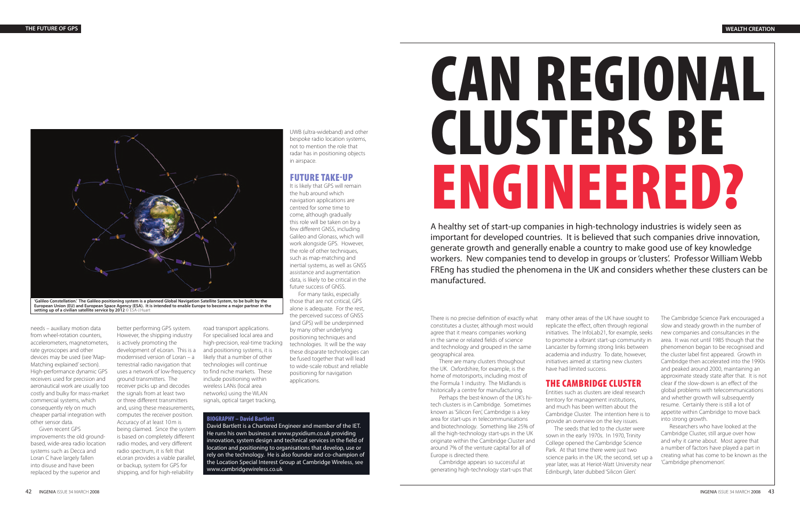# **CAN REGIONAL CLUSTERS BE ENGINEERED?**

A healthy set of start-up companies in high-technology industries is widely seen as important for developed countries. It is believed that such companies drive innovation, generate growth and generally enable a country to make good use of key knowledge workers. New companies tend to develop in groups or 'clusters'. Professor William Webb FREng has studied the phenomena in the UK and considers whether these clusters can be manufactured.

There is no precise definition of exactly what constitutes a cluster, although most would agree that it means companies working in the same or related fields of science and technology and grouped in the same geographical area.

There are many clusters throughout the UK. Oxfordshire, for example, is the home of motorsports, including most of the Formula 1 industry. The Midlands is historically a centre for manufacturing.

Perhaps the best-known of the UK's hitech clusters is in Cambridge. Sometimes known as 'Silicon Fen', Cambridge is a key area for start-ups in telecommunications and biotechnology. Something like 25% of all the high-technology start-ups in the UK originate within the Cambridge Cluster and around 7% of the venture capital for all of Europe is directed there.

Cambridge appears so successful at generating high-technology start-ups that many other areas of the UK have sought to replicate the effect, often through regional initiatives. The InfoLab21, for example, seeks to promote a vibrant start-up community in Lancaster by forming strong links between academia and industry. To date, however, initiatives aimed at starting new clusters have had limited success.

# **THE CAMBRIDGE CLUSTER**

Entities such as clusters are ideal research territory for management institutions, and much has been written about the Cambridge Cluster. The intention here is to provide an overview on the key issues.

The seeds that led to the cluster were sown in the early 1970s. In 1970, Trinity College opened the Cambridge Science Park. At that time there were just two science parks in the UK; the second, set up a year later, was at Heriot-Watt University near Edinburgh, later dubbed 'Silicon Glen'.

The Cambridge Science Park encouraged a slow and steady growth in the number of new companies and consultancies in the area. It was not until 1985 though that the phenomenon began to be recognised and the cluster label first appeared. Growth in Cambridge then accelerated into the 1990s and peaked around 2000, maintaining an approximate steady state after that. It is not clear if the slow-down is an effect of the global problems with telecommunications and whether growth will subsequently resume. Certainly there is still a lot of appetite within Cambridge to move back into strong growth.

Researchers who have looked at the Cambridge Cluster, still argue over how and why it came about. Most agree that a number of factors have played a part in creating what has come to be known as the 'Cambridge phenomenon'.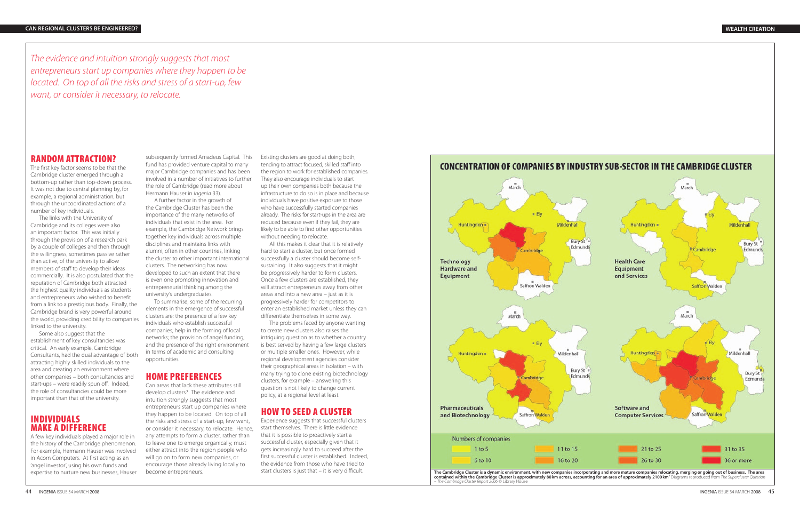#### **RANDOM ATTRACTION?**

The first key factor seems to be that the Cambridge cluster emerged through a bottom-up rather than top-down process. It was not due to central planning by, for example, a regional administration, but through the uncoordinated actions of a number of key individuals.

The links with the University of Cambridge and its colleges were also an important factor. This was initially through the provision of a research park by a couple of colleges and then through the willingness, sometimes passive rather than active, of the university to allow members of staff to develop their ideas commercially. It is also postulated that the reputation of Cambridge both attracted the highest quality individuals as students and entrepreneurs who wished to benefit from a link to a prestigious body. Finally, the Cambridge brand is very powerful around the world, providing credibility to companies linked to the university.

subsequently formed Amadeus Capital. This fund has provided venture capital to many major Cambridge companies and has been involved in a number of initiatives to further the role of Cambridge (read more about Hermann Hauser in *Ingenia* 33).

Some also suggest that the establishment of key consultancies was critical. An early example, Cambridge Consultants, had the dual advantage of both attracting highly skilled individuals to the area and creating an environment where other companies – both consultancies and start-ups – were readily spun off. Indeed, the role of consultancies could be more important than that of the university.

## **INDIVIDUALS MAKE A DIFFERENCE**

A few key individuals played a major role in the history of the Cambridge phenomenon. For example, Hermann Hauser was involved in Acorn Computers. At first acting as an 'angel investor', using his own funds and expertise to nurture new businesses, Hauser

A further factor in the growth of the Cambridge Cluster has been the importance of the many networks of individuals that exist in the area. For example, the Cambridge Network brings together key individuals across multiple disciplines and maintains links with alumni, often in other countries, linking the cluster to other important international clusters. The networking has now developed to such an extent that there is even one promoting innovation and entrepreneurial thinking among the university's undergraduates.

To summarise, some of the recurring elements in the emergence of successful clusters are: the presence of a few key individuals who establish successful companies; help in the forming of local networks; the provision of angel funding; and the presence of the right environment in terms of academic and consulting opportunities.

### **HOME PREFERENCES**

Can areas that lack these attributes still develop clusters? The evidence and intuition strongly suggests that most entrepreneurs start up companies where they happen to be located. On top of all the risks and stress of a start-up, few want, or consider it necessary, to relocate. Hence, any attempts to form a cluster, rather than to leave one to emerge organically, must either attract into the region people who will go on to form new companies, or encourage those already living locally to become entrepreneurs.

Existing clusters are good at doing both, tending to attract focused, skilled staff into the region to work for established companies. They also encourage individuals to start up their own companies both because the infrastructure to do so is in place and because individuals have positive exposure to those who have successfully started companies already. The risks for start-ups in the area are reduced because even if they fail, they are likely to be able to find other opportunities without needing to relocate.

All this makes it clear that it is relatively hard to start a cluster, but once formed successfully a cluster should become selfsustaining. It also suggests that it might be progressively harder to form clusters. Once a few clusters are established, they will attract entrepreneurs away from other areas and into a new area – just as it is progressively harder for competitors to enter an established market unless they can differentiate themselves in some way.

The problems faced by anyone wanting to create new clusters also raises the intriguing question as to whether a country is best served by having a few large clusters or multiple smaller ones. However, while regional development agencies consider their geographical areas in isolation – with many trying to clone existing biotechnology clusters, for example – answering this question is not likely to change current policy, at a regional level at least.

# **HOW TO SEED A CLUSTER**

Experience suggests that successful clusters start themselves. There is little evidence that it is possible to proactively start a successful cluster, especially given that it gets increasingly hard to succeed after the first successful cluster is established. Indeed, the evidence from those who have tried to start clusters is just that – it is very difficult.

The evidence and intuition strongly suggests that most entrepreneurs start up companies where they happen to be located. On top of all the risks and stress of a start-up, few want, or consider it necessary, to relocate.